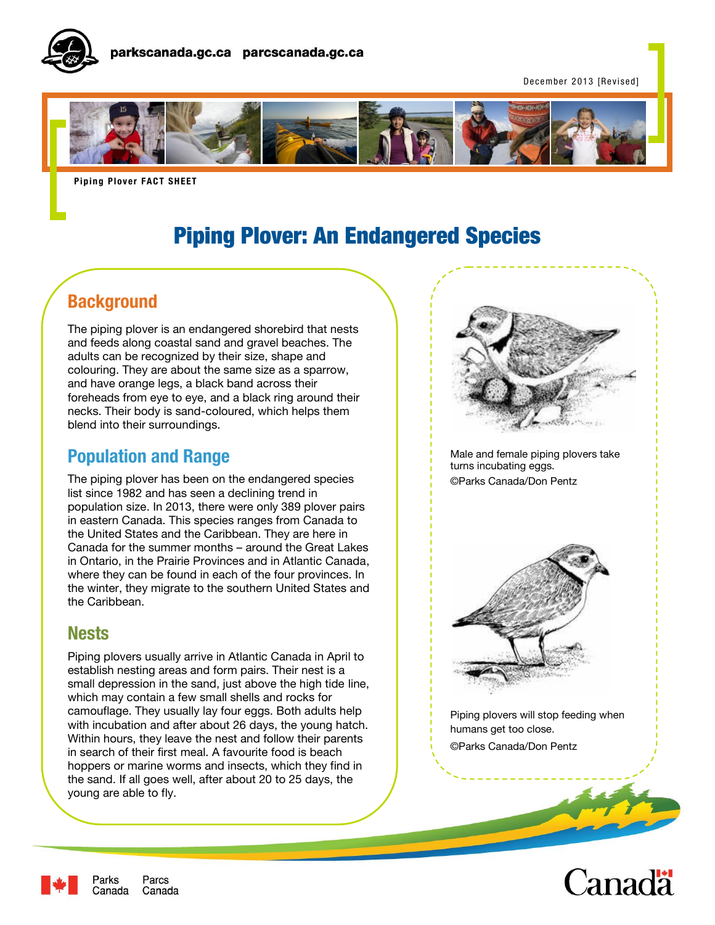

December 2013 [Revised]



**Piping Plover FACT SHEET** 

# Piping Plover: An Endangered Species

# **Background**

The piping plover is an endangered shorebird that nests and feeds along coastal sand and gravel beaches. The adults can be recognized by their size, shape and colouring. They are about the same size as a sparrow, and have orange legs, a black band across their foreheads from eye to eye, and a black ring around their necks. Their body is sand-coloured, which helps them blend into their surroundings.

### **Population and Range**

The piping plover has been on the endangered species list since 1982 and has seen a declining trend in population size. In 2013, there were only 389 plover pairs in eastern Canada. This species ranges from Canada to the United States and the Caribbean. They are here in Canada for the summer months – around the Great Lakes in Ontario, in the Prairie Provinces and in Atlantic Canada, where they can be found in each of the four provinces. In the winter, they migrate to the southern United States and the Caribbean.

### **Nests**

Piping plovers usually arrive in Atlantic Canada in April to establish nesting areas and form pairs. Their nest is a small depression in the sand, just above the high tide line, which may contain a few small shells and rocks for camouflage. They usually lay four eggs. Both adults help with incubation and after about 26 days, the young hatch. Within hours, they leave the nest and follow their parents in search of their first meal. A favourite food is beach hoppers or marine worms and insects, which they find in the sand. If all goes well, after about 20 to 25 days, the young are able to fly.



Male and female piping plovers take turns incubating eggs. ©Parks Canada/Don Pentz



Piping plovers will stop feeding when humans get too close. ©Parks Canada/Don Pentz